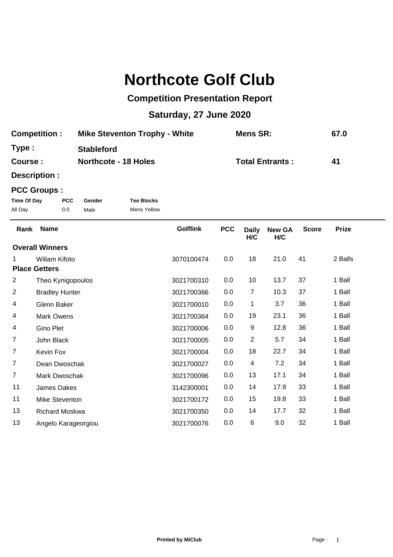## **Northcote Golf Club**

## **Competition Presentation Report**

## **Saturday, 27 June 2020**

| <b>Competition:</b> | <b>Mike Steventon Trophy - White</b> | Mens SR:               | 67.0 |
|---------------------|--------------------------------------|------------------------|------|
| Type :              | <b>Stableford</b>                    |                        |      |
| <b>Course :</b>     | <b>Northcote - 18 Holes</b>          | <b>Total Entrants:</b> | 41   |

**Description :**

## **PCC Groups :**

| Time Of Day | <b>PCC</b> | Gender | <b>Tee Blocks</b> |
|-------------|------------|--------|-------------------|
| All Day     | 0.0        | Male   | Mens Yellow       |

| Rank                   | <b>Name</b>           | <b>Golflink</b> | <b>PCC</b> | <b>Daily</b><br>H/C     | <b>New GA</b><br>H/C | <b>Score</b> | <b>Prize</b> |
|------------------------|-----------------------|-----------------|------------|-------------------------|----------------------|--------------|--------------|
| <b>Overall Winners</b> |                       |                 |            |                         |                      |              |              |
| 1.                     | Wiliam Kifoto         | 3070100474      | 0.0        | 18                      | 21.0                 | 41           | 2 Balls      |
|                        | <b>Place Getters</b>  |                 |            |                         |                      |              |              |
| 2                      | Theo Kynigopoulos     | 3021700310      | 0.0        | 10                      | 13.7                 | 37           | 1 Ball       |
| $\overline{2}$         | <b>Bradley Hunter</b> | 3021700366      | 0.0        | 7                       | 10.3                 | 37           | 1 Ball       |
| 4                      | Glenn Baker           | 3021700010      | 0.0        | 1                       | 3.7                  | 36           | 1 Ball       |
| 4                      | <b>Mark Owens</b>     | 3021700364      | 0.0        | 19                      | 23.1                 | 36           | 1 Ball       |
| 4                      | Gino Plet             | 3021700006      | 0.0        | 9                       | 12.8                 | 36           | 1 Ball       |
| $\overline{7}$         | John Black            | 3021700005      | 0.0        | $\overline{2}$          | 5.7                  | 34           | 1 Ball       |
| $\overline{7}$         | Kevin Fox             | 3021700004      | 0.0        | 18                      | 22.7                 | 34           | 1 Ball       |
| $\overline{7}$         | Dean Dwoschak         | 3021700027      | 0.0        | $\overline{\mathbf{4}}$ | 7.2                  | 34           | 1 Ball       |
| $\overline{7}$         | Mark Dwoschak         | 3021700096      | 0.0        | 13                      | 17.1                 | 34           | 1 Ball       |
| 11                     | James Oakes           | 3142300001      | 0.0        | 14                      | 17.9                 | 33           | 1 Ball       |
| 11                     | Mike Steventon        | 3021700172      | 0.0        | 15                      | 19.8                 | 33           | 1 Ball       |
| 13                     | <b>Richard Moskwa</b> | 3021700350      | 0.0        | 14                      | 17.7                 | 32           | 1 Ball       |
| 13                     | Angelo Karageorgiou   | 3021700076      | 0.0        | 6                       | 9.0                  | 32           | 1 Ball       |